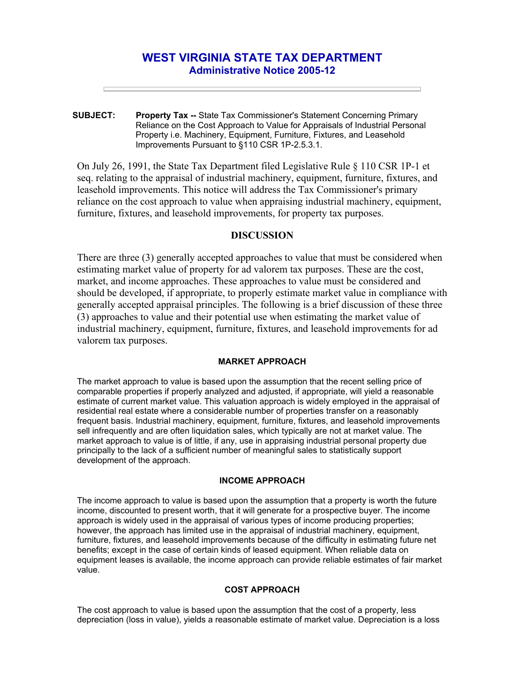# **WEST VIRGINIA STATE TAX DEPARTMENT Administrative Notice 2005-12**

**SUBJECT: Property Tax --** State Tax Commissioner's Statement Concerning Primary Reliance on the Cost Approach to Value for Appraisals of Industrial Personal Property i.e. Machinery, Equipment, Furniture, Fixtures, and Leasehold Improvements Pursuant to §110 CSR 1P-2.5.3.1.

On July 26, 1991, the State Tax Department filed Legislative Rule § 110 CSR 1P-1 et seq. relating to the appraisal of industrial machinery, equipment, furniture, fixtures, and leasehold improvements. This notice will address the Tax Commissioner's primary reliance on the cost approach to value when appraising industrial machinery, equipment, furniture, fixtures, and leasehold improvements, for property tax purposes.

## **DISCUSSION**

There are three (3) generally accepted approaches to value that must be considered when estimating market value of property for ad valorem tax purposes. These are the cost, market, and income approaches. These approaches to value must be considered and should be developed, if appropriate, to properly estimate market value in compliance with generally accepted appraisal principles. The following is a brief discussion of these three (3) approaches to value and their potential use when estimating the market value of industrial machinery, equipment, furniture, fixtures, and leasehold improvements for ad valorem tax purposes.

#### **MARKET APPROACH**

The market approach to value is based upon the assumption that the recent selling price of comparable properties if properly analyzed and adjusted, if appropriate, will yield a reasonable estimate of current market value. This valuation approach is widely employed in the appraisal of residential real estate where a considerable number of properties transfer on a reasonably frequent basis. Industrial machinery, equipment, furniture, fixtures, and leasehold improvements sell infrequently and are often liquidation sales, which typically are not at market value. The market approach to value is of little, if any, use in appraising industrial personal property due principally to the lack of a sufficient number of meaningful sales to statistically support development of the approach.

#### **INCOME APPROACH**

The income approach to value is based upon the assumption that a property is worth the future income, discounted to present worth, that it will generate for a prospective buyer. The income approach is widely used in the appraisal of various types of income producing properties; however, the approach has limited use in the appraisal of industrial machinery, equipment, furniture, fixtures, and leasehold improvements because of the difficulty in estimating future net benefits; except in the case of certain kinds of leased equipment. When reliable data on equipment leases is available, the income approach can provide reliable estimates of fair market value.

### **COST APPROACH**

The cost approach to value is based upon the assumption that the cost of a property, less depreciation (loss in value), yields a reasonable estimate of market value. Depreciation is a loss